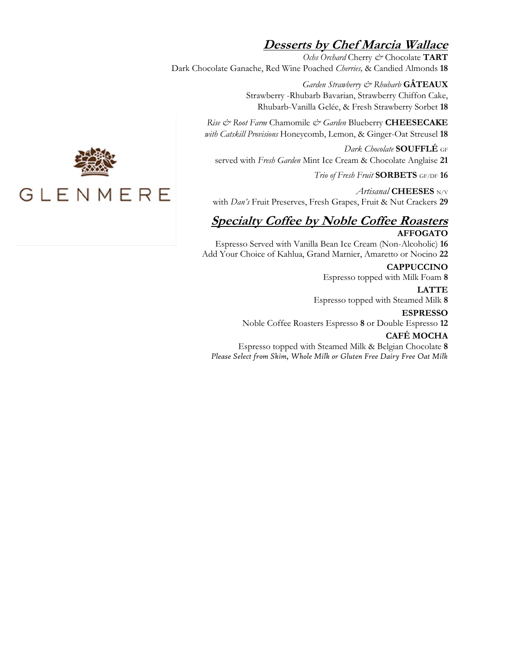## **Desserts by Chef Marcia Wallace**

*Ochs Orchard* Cherry *&* Chocolate **TART** Dark Chocolate Ganache, Red Wine Poached *Cherries,* & Candied Almonds **18**

> *Garden Strawberry & Rhubarb* **GÂTEAUX** Strawberry -Rhubarb Bavarian, Strawberry Chiffon Cake, Rhubarb-Vanilla Gelée, & Fresh Strawberry Sorbet **18**

*Rise & Root Farm* Chamomile *& Garden* Blueberry **CHEESECAKE** *with Catskill Provisions* Honeycomb, Lemon, & Ginger-Oat Streusel **18**

*Dark Chocolate* **SOUFFLÉ** GF served with *Fresh Garden* Mint Ice Cream & Chocolate Anglaise **21**

*Trio of Fresh Fruit* **SORBETS** GF/DF **16**

*Artisanal* **CHEESES** N/V with *Dan's* Fruit Preserves, Fresh Grapes, Fruit & Nut Crackers **29**

## **Specialty Coffee by Noble Coffee Roasters AFFOGATO**

Espresso Served with Vanilla Bean Ice Cream (Non-Alcoholic) **16** Add Your Choice of Kahlua, Grand Marnier, Amaretto or Nocino **22**

> **CAPPUCCINO** Espresso topped with Milk Foam **8**

**LATTE**

Espresso topped with Steamed Milk **8**

**ESPRESSO**

Noble Coffee Roasters Espresso **8** or Double Espresso **12**

## **CAFÉ MOCHA**

Espresso topped with Steamed Milk & Belgian Chocolate **8** *Please Select from Skim, Whole Milk or Gluten Free Dairy Free Oat Milk*



## GLENMERE